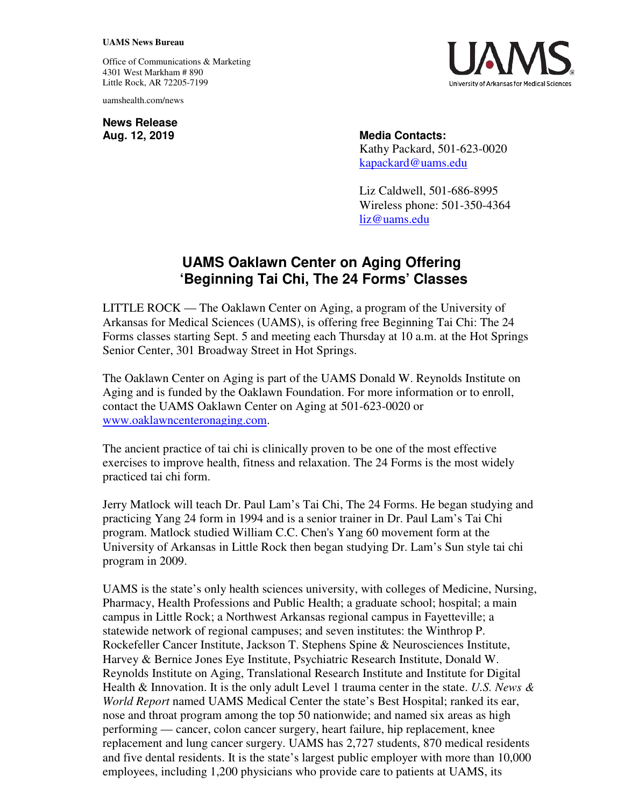## **UAMS News Bureau**

Office of Communications & Marketing 4301 West Markham # 890 Little Rock, AR 72205-7199

uamshealth.com/news

**News Release**



Aug. 12, 2019 **Media Contacts:** Kathy Packard, 501-623-0020 [kapackard@uams.edu](mailto:kapackard@uams.edu)

> Liz Caldwell, 501-686-8995 Wireless phone: 501-350-4364 [liz@uams.edu](mailto:liz@uams.edu)

## **UAMS Oaklawn Center on Aging Offering 'Beginning Tai Chi, The 24 Forms' Classes**

LITTLE ROCK — The Oaklawn Center on Aging, a program of the University of Arkansas for Medical Sciences (UAMS), is offering free Beginning Tai Chi: The 24 Forms classes starting Sept. 5 and meeting each Thursday at 10 a.m. at the Hot Springs Senior Center, 301 Broadway Street in Hot Springs.

The Oaklawn Center on Aging is part of the UAMS Donald W. Reynolds Institute on Aging and is funded by the Oaklawn Foundation. For more information or to enroll, contact the UAMS Oaklawn Center on Aging at 501-623-0020 or www.oaklawncenteronaging.com.

The ancient practice of tai chi is clinically proven to be one of the most effective exercises to improve health, fitness and relaxation. The 24 Forms is the most widely practiced tai chi form.

Jerry Matlock will teach Dr. Paul Lam's Tai Chi, The 24 Forms. He began studying and practicing Yang 24 form in 1994 and is a senior trainer in Dr. Paul Lam's Tai Chi program. Matlock studied William C.C. Chen's Yang 60 movement form at the University of Arkansas in Little Rock then began studying Dr. Lam's Sun style tai chi program in 2009.

UAMS is the state's only health sciences university, with colleges of Medicine, Nursing, Pharmacy, Health Professions and Public Health; a graduate school; hospital; a main campus in Little Rock; a Northwest Arkansas regional campus in Fayetteville; a statewide network of regional campuses; and seven institutes: the Winthrop P. Rockefeller Cancer Institute, Jackson T. Stephens Spine & Neurosciences Institute, Harvey & Bernice Jones Eye Institute, Psychiatric Research Institute, Donald W. Reynolds Institute on Aging, Translational Research Institute and Institute for Digital Health & Innovation. It is the only adult Level 1 trauma center in the state. *U.S. News & World Report* named UAMS Medical Center the state's Best Hospital; ranked its ear, nose and throat program among the top 50 nationwide; and named six areas as high performing — cancer, colon cancer surgery, heart failure, hip replacement, knee replacement and lung cancer surgery. UAMS has 2,727 students, 870 medical residents and five dental residents. It is the state's largest public employer with more than 10,000 employees, including 1,200 physicians who provide care to patients at UAMS, its